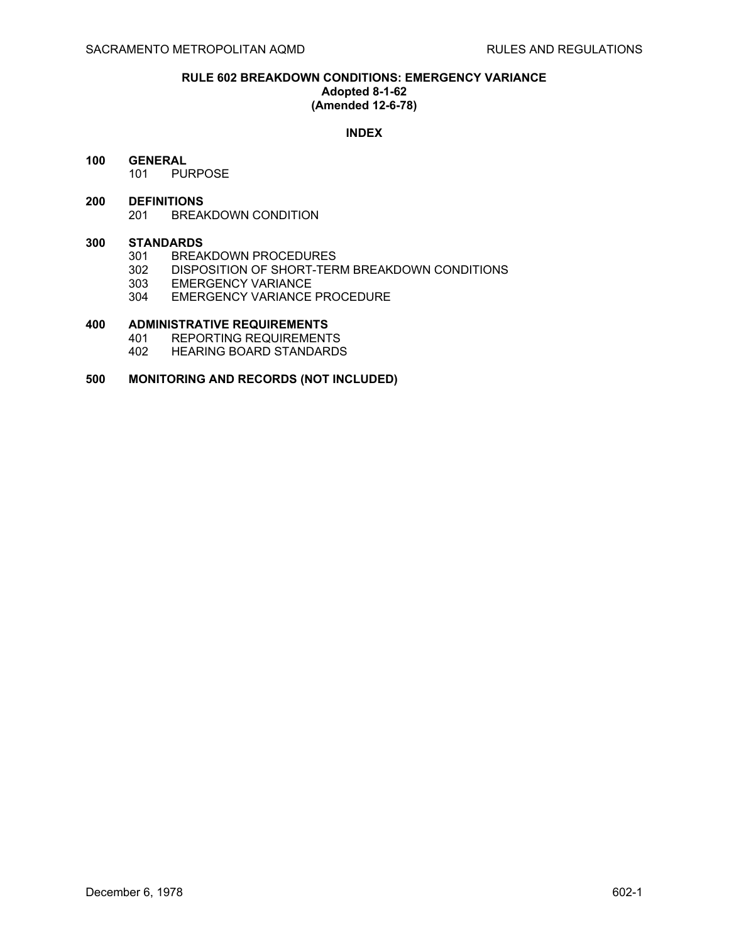## **RULE 602 BREAKDOWN CONDITIONS: EMERGENCY VARIANCE Adopted 8-1-62 (Amended 12-6-78)**

#### **INDEX**

# **100 GENERAL**<br>101 PUI

**PURPOSE** 

#### **200 DEFINITIONS** BREAKDOWN CONDITION

# **300 STANDARDS**

- 301 BREAKDOWN PROCEDURES<br>302 DISPOSITION OF SHORT-TER
- 302 DISPOSITION OF SHORT-TERM BREAKDOWN CONDITIONS<br>303 EMERGENCY VARIANCE
- **EMERGENCY VARIANCE**
- 304 EMERGENCY VARIANCE PROCEDURE

# **400 ADMINISTRATIVE REQUIREMENTS**

- REPORTING REQUIREMENTS
- 402 HEARING BOARD STANDARDS

# **500 MONITORING AND RECORDS (NOT INCLUDED)**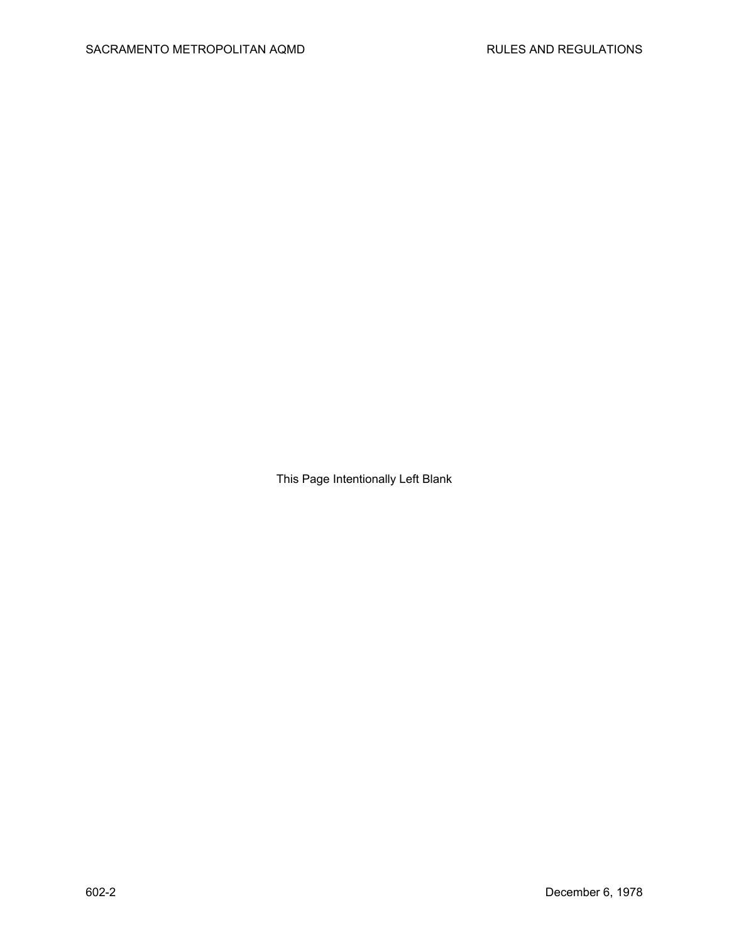This Page Intentionally Left Blank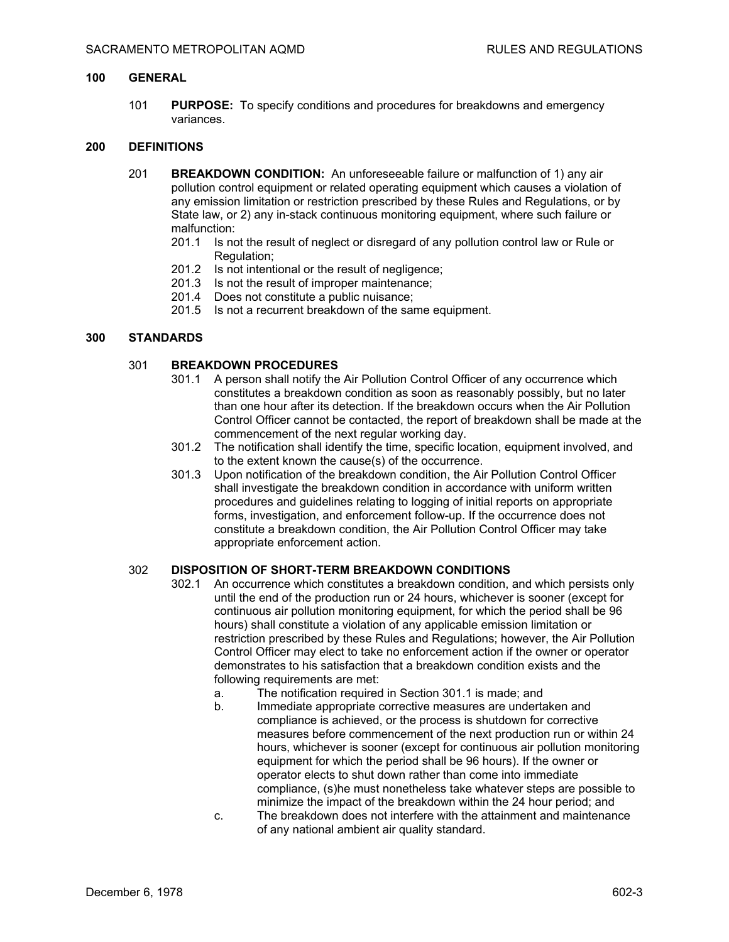# **100 GENERAL**

101 **PURPOSE:** To specify conditions and procedures for breakdowns and emergency variances.

# **200 DEFINITIONS**

- 201 **BREAKDOWN CONDITION:** An unforeseeable failure or malfunction of 1) any air pollution control equipment or related operating equipment which causes a violation of any emission limitation or restriction prescribed by these Rules and Regulations, or by State law, or 2) any in-stack continuous monitoring equipment, where such failure or malfunction:
	- 201.1 Is not the result of neglect or disregard of any pollution control law or Rule or Regulation;
	- 201.2 Is not intentional or the result of negligence;
	- 201.3 Is not the result of improper maintenance;
	- 201.4 Does not constitute a public nuisance;
	- 201.5 Is not a recurrent breakdown of the same equipment.

### **300 STANDARDS**

#### 301 **BREAKDOWN PROCEDURES**

- 301.1 A person shall notify the Air Pollution Control Officer of any occurrence which constitutes a breakdown condition as soon as reasonably possibly, but no later than one hour after its detection. If the breakdown occurs when the Air Pollution Control Officer cannot be contacted, the report of breakdown shall be made at the commencement of the next regular working day.
- 301.2 The notification shall identify the time, specific location, equipment involved, and to the extent known the cause(s) of the occurrence.
- 301.3 Upon notification of the breakdown condition, the Air Pollution Control Officer shall investigate the breakdown condition in accordance with uniform written procedures and guidelines relating to logging of initial reports on appropriate forms, investigation, and enforcement follow-up. If the occurrence does not constitute a breakdown condition, the Air Pollution Control Officer may take appropriate enforcement action.

## 302 **DISPOSITION OF SHORT-TERM BREAKDOWN CONDITIONS**

- 302.1 An occurrence which constitutes a breakdown condition, and which persists only until the end of the production run or 24 hours, whichever is sooner (except for continuous air pollution monitoring equipment, for which the period shall be 96 hours) shall constitute a violation of any applicable emission limitation or restriction prescribed by these Rules and Regulations; however, the Air Pollution Control Officer may elect to take no enforcement action if the owner or operator demonstrates to his satisfaction that a breakdown condition exists and the following requirements are met:
	- a. The notification required in Section 301.1 is made; and
	- b. Immediate appropriate corrective measures are undertaken and compliance is achieved, or the process is shutdown for corrective measures before commencement of the next production run or within 24 hours, whichever is sooner (except for continuous air pollution monitoring equipment for which the period shall be 96 hours). If the owner or operator elects to shut down rather than come into immediate compliance, (s)he must nonetheless take whatever steps are possible to minimize the impact of the breakdown within the 24 hour period; and
	- c. The breakdown does not interfere with the attainment and maintenance of any national ambient air quality standard.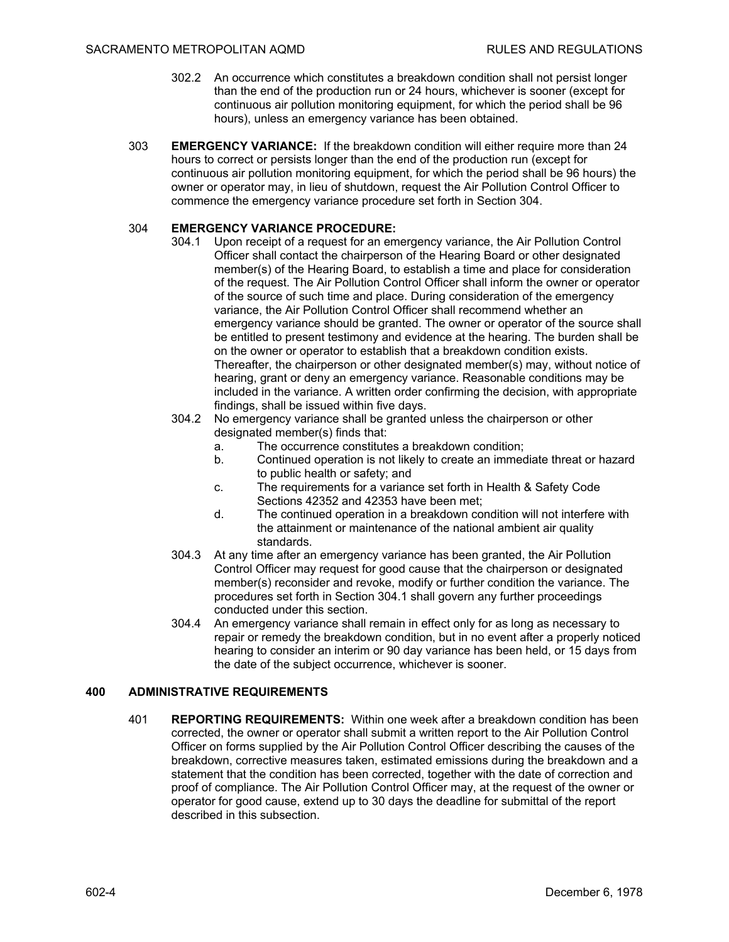- 302.2 An occurrence which constitutes a breakdown condition shall not persist longer than the end of the production run or 24 hours, whichever is sooner (except for continuous air pollution monitoring equipment, for which the period shall be 96 hours), unless an emergency variance has been obtained.
- 303 **EMERGENCY VARIANCE:** If the breakdown condition will either require more than 24 hours to correct or persists longer than the end of the production run (except for continuous air pollution monitoring equipment, for which the period shall be 96 hours) the owner or operator may, in lieu of shutdown, request the Air Pollution Control Officer to commence the emergency variance procedure set forth in Section 304.

## 304 **EMERGENCY VARIANCE PROCEDURE:**

- 304.1 Upon receipt of a request for an emergency variance, the Air Pollution Control Officer shall contact the chairperson of the Hearing Board or other designated member(s) of the Hearing Board, to establish a time and place for consideration of the request. The Air Pollution Control Officer shall inform the owner or operator of the source of such time and place. During consideration of the emergency variance, the Air Pollution Control Officer shall recommend whether an emergency variance should be granted. The owner or operator of the source shall be entitled to present testimony and evidence at the hearing. The burden shall be on the owner or operator to establish that a breakdown condition exists. Thereafter, the chairperson or other designated member(s) may, without notice of hearing, grant or deny an emergency variance. Reasonable conditions may be included in the variance. A written order confirming the decision, with appropriate findings, shall be issued within five days.
- 304.2 No emergency variance shall be granted unless the chairperson or other designated member(s) finds that:
	- a. The occurrence constitutes a breakdown condition;
	- b. Continued operation is not likely to create an immediate threat or hazard to public health or safety; and
	- c. The requirements for a variance set forth in Health & Safety Code Sections 42352 and 42353 have been met;
	- d. The continued operation in a breakdown condition will not interfere with the attainment or maintenance of the national ambient air quality standards.
- 304.3 At any time after an emergency variance has been granted, the Air Pollution Control Officer may request for good cause that the chairperson or designated member(s) reconsider and revoke, modify or further condition the variance. The procedures set forth in Section 304.1 shall govern any further proceedings conducted under this section.
- 304.4 An emergency variance shall remain in effect only for as long as necessary to repair or remedy the breakdown condition, but in no event after a properly noticed hearing to consider an interim or 90 day variance has been held, or 15 days from the date of the subject occurrence, whichever is sooner.

## **400 ADMINISTRATIVE REQUIREMENTS**

401 **REPORTING REQUIREMENTS:** Within one week after a breakdown condition has been corrected, the owner or operator shall submit a written report to the Air Pollution Control Officer on forms supplied by the Air Pollution Control Officer describing the causes of the breakdown, corrective measures taken, estimated emissions during the breakdown and a statement that the condition has been corrected, together with the date of correction and proof of compliance. The Air Pollution Control Officer may, at the request of the owner or operator for good cause, extend up to 30 days the deadline for submittal of the report described in this subsection.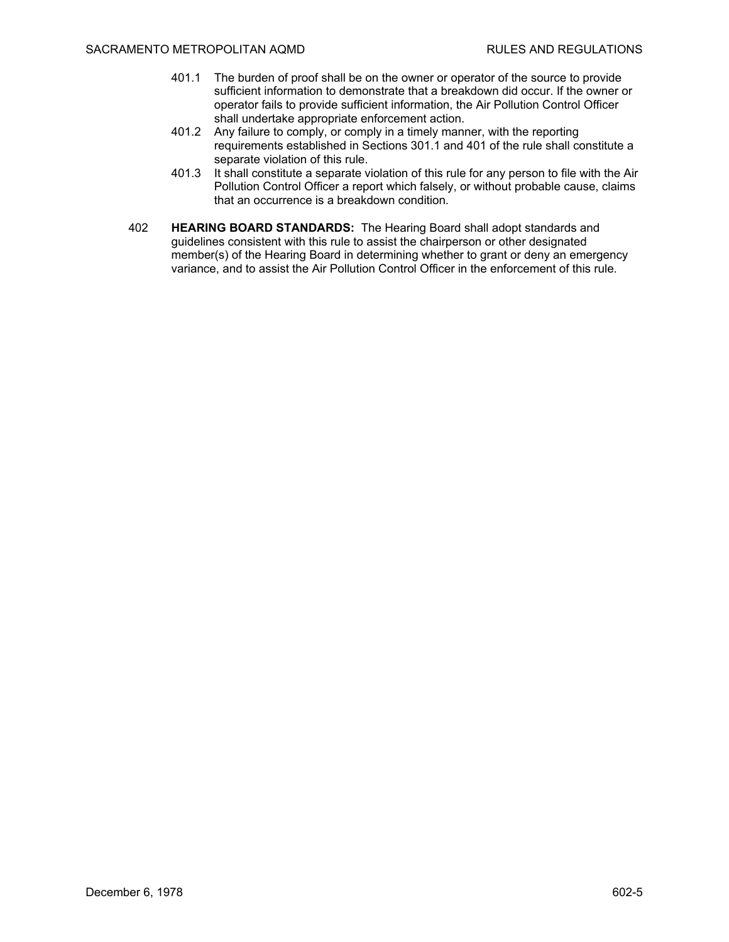- 401.1 The burden of proof shall be on the owner or operator of the source to provide sufficient information to demonstrate that a breakdown did occur. If the owner or operator fails to provide sufficient information, the Air Pollution Control Officer shall undertake appropriate enforcement action.
- 401.2 Any failure to comply, or comply in a timely manner, with the reporting requirements established in Sections 301.1 and 401 of the rule shall constitute a separate violation of this rule.
- 401.3 It shall constitute a separate violation of this rule for any person to file with the Air Pollution Control Officer a report which falsely, or without probable cause, claims that an occurrence is a breakdown condition.
- 402 **HEARING BOARD STANDARDS:** The Hearing Board shall adopt standards and guidelines consistent with this rule to assist the chairperson or other designated member(s) of the Hearing Board in determining whether to grant or deny an emergency variance, and to assist the Air Pollution Control Officer in the enforcement of this rule.